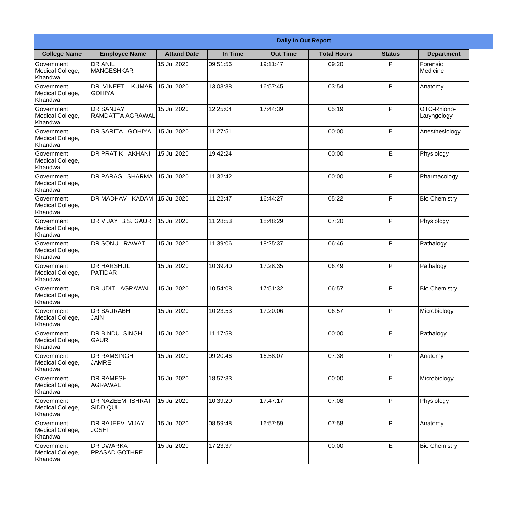|                                                  | <b>Daily In Out Report</b>                 |                    |          |                 |                    |               |                            |  |
|--------------------------------------------------|--------------------------------------------|--------------------|----------|-----------------|--------------------|---------------|----------------------------|--|
| <b>College Name</b>                              | <b>Employee Name</b>                       | <b>Attand Date</b> | In Time  | <b>Out Time</b> | <b>Total Hours</b> | <b>Status</b> | <b>Department</b>          |  |
| Government<br>Medical College,<br>Khandwa        | <b>DR ANIL</b><br><b>MANGESHKAR</b>        | 15 Jul 2020        | 09:51:56 | 19:11:47        | 09:20              | P             | Forensic<br>Medicine       |  |
| Government<br>Medical College,<br>Khandwa        | DR VINEET<br><b>KUMAR</b><br><b>GOHIYA</b> | 15 Jul 2020        | 13:03:38 | 16:57:45        | 03:54              | P             | Anatomy                    |  |
| <b>Government</b><br>Medical College,<br>Khandwa | <b>DR SANJAY</b><br>RAMDATTA AGRAWAL       | 15 Jul 2020        | 12:25:04 | 17:44:39        | 05:19              | P             | OTO-Rhiono-<br>Laryngology |  |
| Government<br>Medical College,<br>Khandwa        | DR SARITA GOHIYA                           | 15 Jul 2020        | 11:27:51 |                 | 00:00              | E             | Anesthesiology             |  |
| Government<br>Medical College,<br>Khandwa        | <b>DR PRATIK AKHANI</b>                    | 15 Jul 2020        | 19:42:24 |                 | 00:00              | E             | Physiology                 |  |
| Government<br>Medical College,<br>Khandwa        | DR PARAG SHARMA                            | 15 Jul 2020        | 11:32:42 |                 | 00:00              | E             | Pharmacology               |  |
| Government<br>Medical College,<br>Khandwa        | DR MADHAV KADAM                            | 15 Jul 2020        | 11:22:47 | 16:44:27        | 05:22              | P             | <b>Bio Chemistry</b>       |  |
| <b>Government</b><br>Medical College,<br>Khandwa | DR VIJAY B.S. GAUR                         | 15 Jul 2020        | 11:28:53 | 18:48:29        | 07:20              | P             | Physiology                 |  |
| Government<br>Medical College,<br>Khandwa        | <b>DR SONU RAWAT</b>                       | 15 Jul 2020        | 11:39:06 | 18:25:37        | 06:46              | P             | Pathalogy                  |  |
| Government<br>Medical College,<br>Khandwa        | <b>DR HARSHUL</b><br>PATIDAR               | 15 Jul 2020        | 10:39:40 | 17:28:35        | 06:49              | P             | Pathalogy                  |  |
| Government<br>Medical College,<br>Khandwa        | IDR UDIT<br><b>AGRAWAL</b>                 | 15 Jul 2020        | 10:54:08 | 17:51:32        | 06:57              | $\mathsf{P}$  | <b>Bio Chemistry</b>       |  |
| Government<br>Medical College,<br>Khandwa        | <b>DR SAURABH</b><br><b>JAIN</b>           | 15 Jul 2020        | 10:23:53 | 17:20:06        | 06:57              | P             | Microbiology               |  |
| Government<br>Medical College,<br>Khandwa        | DR BINDU SINGH<br><b>GAUR</b>              | 15 Jul 2020        | 11:17:58 |                 | 00:00              | E             | Pathalogy                  |  |
| Government<br>Medical College,<br>Khandwa        | <b>DR RAMSINGH</b><br><b>JAMRE</b>         | 15 Jul 2020        | 09:20:46 | 16:58:07        | 07:38              | P             | Anatomy                    |  |
| Government<br>Medical College,<br>Khandwa        | <b>DR RAMESH</b><br>AGRAWAL                | 15 Jul 2020        | 18:57:33 |                 | 00:00              | E             | Microbiology               |  |
| Government<br>Medical College,<br>Khandwa        | <b>DR NAZEEM ISHRAT</b><br>SIDDIQUI        | 15 Jul 2020        | 10:39:20 | 17:47:17        | 07:08              | P             | Physiology                 |  |
| Government<br>Medical College,<br>Khandwa        | <b>DR RAJEEV VIJAY</b><br><b>JOSHI</b>     | 15 Jul 2020        | 08:59:48 | 16:57:59        | 07:58              | P             | Anatomy                    |  |
| Government<br>Medical College,<br>Khandwa        | <b>DR DWARKA</b><br><b>PRASAD GOTHRE</b>   | 15 Jul 2020        | 17:23:37 |                 | 00:00              | E             | <b>Bio Chemistry</b>       |  |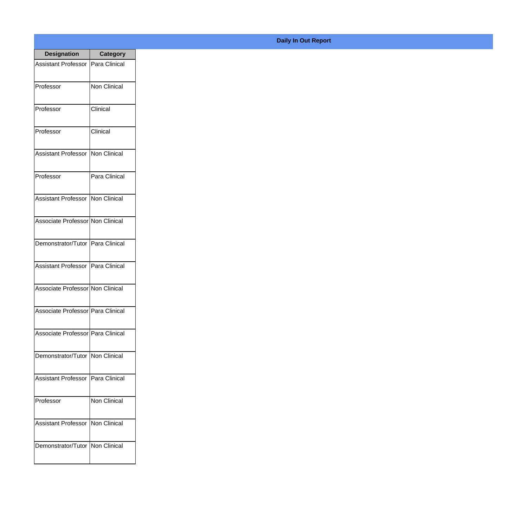| <b>Designation</b>                  | <b>Category</b> |
|-------------------------------------|-----------------|
| Assistant Professor   Para Clinical |                 |
| Professor                           | Non Clinical    |
| Professor                           | Clinical        |
| Professor                           | Clinical        |
| <b>Assistant Professor</b>          | Non Clinical    |
| Professor                           | Para Clinical   |
| Assistant Professor   Non Clinical  |                 |
| Associate Professor Non Clinical    |                 |
| Demonstrator/Tutor   Para Clinical  |                 |
| <b>Assistant Professor</b>          | Para Clinical   |
| Associate Professor Non Clinical    |                 |
| Associate Professor Para Clinical   |                 |
| Associate Professor Para Clinical   |                 |
| Demonstrator/Tutor   Non Clinical   |                 |
| Assistant Professor                 | Para Clinical   |
| Professor                           | Non Clinical    |
| <b>Assistant Professor</b>          | Non Clinical    |
| Demonstrator/Tutor   Non Clinical   |                 |

## **Daily In Out Report**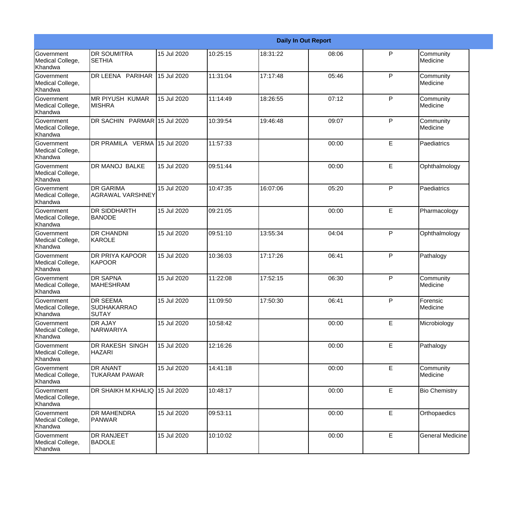|                                                  |                                                       | <b>Daily In Out Report</b> |          |          |       |              |                         |  |
|--------------------------------------------------|-------------------------------------------------------|----------------------------|----------|----------|-------|--------------|-------------------------|--|
| Government<br>Medical College,<br>Khandwa        | <b>DR SOUMITRA</b><br><b>SETHIA</b>                   | 15 Jul 2020                | 10:25:15 | 18:31:22 | 08:06 | P            | Community<br>Medicine   |  |
| Government<br>Medical College,<br>Khandwa        | DR LEENA PARIHAR                                      | 15 Jul 2020                | 11:31:04 | 17:17:48 | 05:46 | $\mathsf{P}$ | Community<br>Medicine   |  |
| <b>Government</b><br>Medical College,<br>Khandwa | IMR PIYUSH KUMAR<br>IMISHRA                           | 15 Jul 2020                | 11:14:49 | 18:26:55 | 07:12 | P            | Community<br>Medicine   |  |
| Government<br>Medical College,<br>Khandwa        | DR SACHIN PARMAR 15 Jul 2020                          |                            | 10:39:54 | 19:46:48 | 09:07 | P            | Community<br>Medicine   |  |
| Government<br>Medical College,<br>Khandwa        | DR PRAMILA VERMA                                      | 15 Jul 2020                | 11:57:33 |          | 00:00 | E            | Paediatrics             |  |
| Government<br>Medical College,<br>Khandwa        | <b>DR MANOJ BALKE</b>                                 | 15 Jul 2020                | 09:51:44 |          | 00:00 | E            | Ophthalmology           |  |
| Government<br>Medical College,<br>Khandwa        | <b>IDR GARIMA</b><br>AGRAWAL VARSHNEY                 | 15 Jul 2020                | 10:47:35 | 16:07:06 | 05:20 | P            | Paediatrics             |  |
| Government<br>Medical College,<br>Khandwa        | <b>DR SIDDHARTH</b><br><b>BANODE</b>                  | 15 Jul 2020                | 09:21:05 |          | 00:00 | E            | Pharmacology            |  |
| Government<br>Medical College,<br>Khandwa        | <b>DR CHANDNI</b><br>KAROLE                           | 15 Jul 2020                | 09:51:10 | 13:55:34 | 04:04 | P            | Ophthalmology           |  |
| Government<br>Medical College,<br>Khandwa        | <b>DR PRIYA KAPOOR</b><br>KAPOOR                      | 15 Jul 2020                | 10:36:03 | 17:17:26 | 06:41 | P            | Pathalogy               |  |
| Government<br>Medical College,<br>Khandwa        | <b>DR SAPNA</b><br><b>MAHESHRAM</b>                   | 15 Jul 2020                | 11:22:08 | 17:52:15 | 06:30 | P            | Community<br>Medicine   |  |
| Government<br>Medical College,<br>Khandwa        | <b>DR SEEMA</b><br><b>SUDHAKARRAO</b><br><b>SUTAY</b> | 15 Jul 2020                | 11:09:50 | 17:50:30 | 06:41 | P            | Forensic<br>Medicine    |  |
| Government<br>Medical College,<br>Khandwa        | <b>DR AJAY</b><br>NARWARIYA                           | 15 Jul 2020                | 10:58:42 |          | 00:00 | E            | Microbiology            |  |
| Government<br>Medical College,<br>Khandwa        | <b>DR RAKESH SINGH</b><br><b>HAZARI</b>               | 15 Jul 2020                | 12:16:26 |          | 00:00 | E            | Pathalogy               |  |
| Government<br>Medical College,<br>Khandwa        | <b>DR ANANT</b><br><b>TUKARAM PAWAR</b>               | 15 Jul 2020                | 14:41:18 |          | 00:00 | E            | Community<br>Medicine   |  |
| Government<br>Medical College,<br>Khandwa        | DR SHAIKH M.KHALIQ 15 Jul 2020                        |                            | 10:48:17 |          | 00:00 | E            | <b>Bio Chemistry</b>    |  |
| Government<br>Medical College,<br>Khandwa        | <b>DR MAHENDRA</b><br><b>PANWAR</b>                   | 15 Jul 2020                | 09:53:11 |          | 00:00 | E            | Orthopaedics            |  |
| Government<br>Medical College,<br>Khandwa        | <b>DR RANJEET</b><br><b>BADOLE</b>                    | 15 Jul 2020                | 10:10:02 |          | 00:00 | E            | <b>General Medicine</b> |  |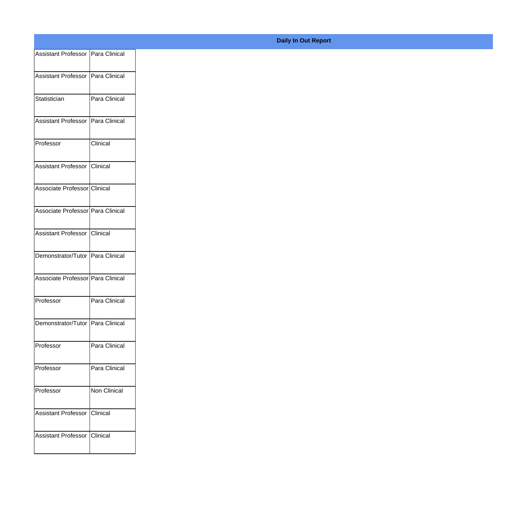| Assistant Professor Para Clinical |                 |
|-----------------------------------|-----------------|
| Assistant Professor Para Clinical |                 |
|                                   |                 |
| Statistician                      | Para Clinical   |
| Assistant Professor Para Clinical |                 |
|                                   |                 |
| Professor                         | Clinical        |
| Assistant Professor Clinical      |                 |
|                                   |                 |
| Associate Professor Clinical      |                 |
| Associate Professor Para Clinical |                 |
|                                   |                 |
| Assistant Professor Clinical      |                 |
| Demonstrator/Tutor Para Clinical  |                 |
|                                   |                 |
| Associate Professor Para Clinical |                 |
| Professor                         | Para Clinical   |
| Demonstrator/Tutor Para Clinical  |                 |
|                                   |                 |
| Professor                         | Para Clinical   |
| Professor                         | Para Clinical   |
|                                   |                 |
| Professor                         | Non Clinical    |
| Assistant Professor               | <b>Clinical</b> |
|                                   |                 |
| Assistant Professor               | <b>Clinical</b> |
|                                   |                 |